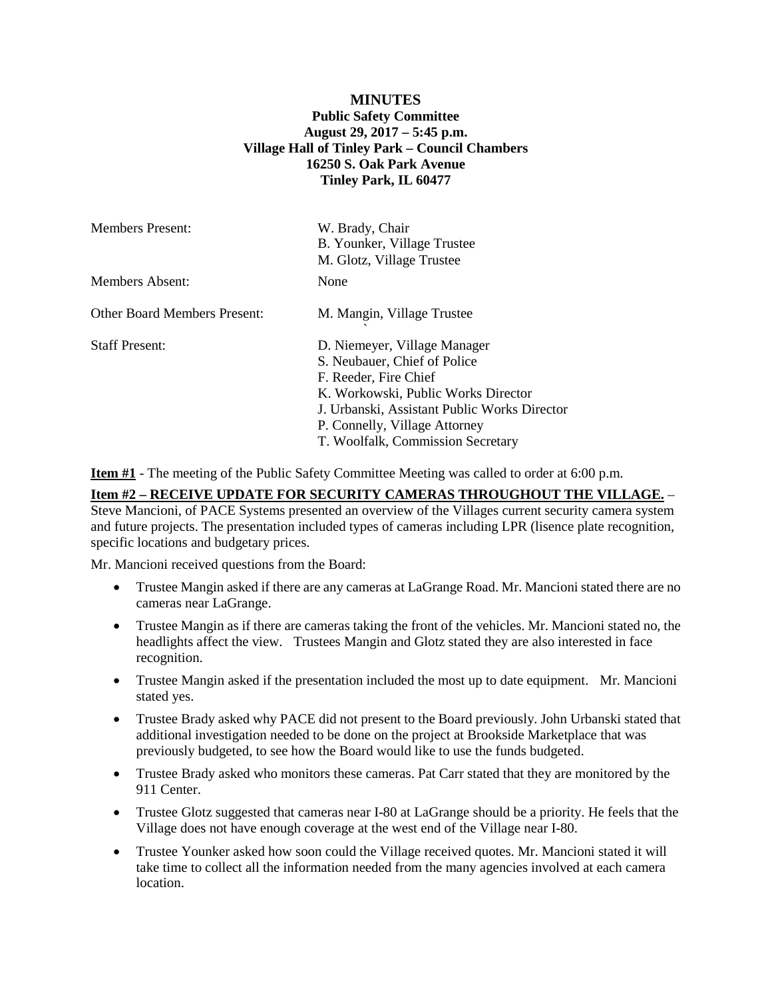# **MINUTES Public Safety Committee August 29, 2017 – 5:45 p.m. Village Hall of Tinley Park – Council Chambers 16250 S. Oak Park Avenue Tinley Park, IL 60477**

| <b>Members Present:</b>             | W. Brady, Chair<br>B. Younker, Village Trustee<br>M. Glotz, Village Trustee                                                                                                                                                                        |
|-------------------------------------|----------------------------------------------------------------------------------------------------------------------------------------------------------------------------------------------------------------------------------------------------|
| Members Absent:                     | None                                                                                                                                                                                                                                               |
| <b>Other Board Members Present:</b> | M. Mangin, Village Trustee                                                                                                                                                                                                                         |
| <b>Staff Present:</b>               | D. Niemeyer, Village Manager<br>S. Neubauer, Chief of Police<br>F. Reeder, Fire Chief<br>K. Workowski, Public Works Director<br>J. Urbanski, Assistant Public Works Director<br>P. Connelly, Village Attorney<br>T. Woolfalk, Commission Secretary |

**Item #1** - The meeting of the Public Safety Committee Meeting was called to order at 6:00 p.m.

### **Item #2 – RECEIVE UPDATE FOR SECURITY CAMERAS THROUGHOUT THE VILLAGE.** –

Steve Mancioni, of PACE Systems presented an overview of the Villages current security camera system and future projects. The presentation included types of cameras including LPR (lisence plate recognition, specific locations and budgetary prices.

Mr. Mancioni received questions from the Board:

- Trustee Mangin asked if there are any cameras at LaGrange Road. Mr. Mancioni stated there are no cameras near LaGrange.
- Trustee Mangin as if there are cameras taking the front of the vehicles. Mr. Mancioni stated no, the headlights affect the view. Trustees Mangin and Glotz stated they are also interested in face recognition.
- Trustee Mangin asked if the presentation included the most up to date equipment. Mr. Mancioni stated yes.
- Trustee Brady asked why PACE did not present to the Board previously. John Urbanski stated that additional investigation needed to be done on the project at Brookside Marketplace that was previously budgeted, to see how the Board would like to use the funds budgeted.
- Trustee Brady asked who monitors these cameras. Pat Carr stated that they are monitored by the 911 Center.
- Trustee Glotz suggested that cameras near I-80 at LaGrange should be a priority. He feels that the Village does not have enough coverage at the west end of the Village near I-80.
- Trustee Younker asked how soon could the Village received quotes. Mr. Mancioni stated it will take time to collect all the information needed from the many agencies involved at each camera location.